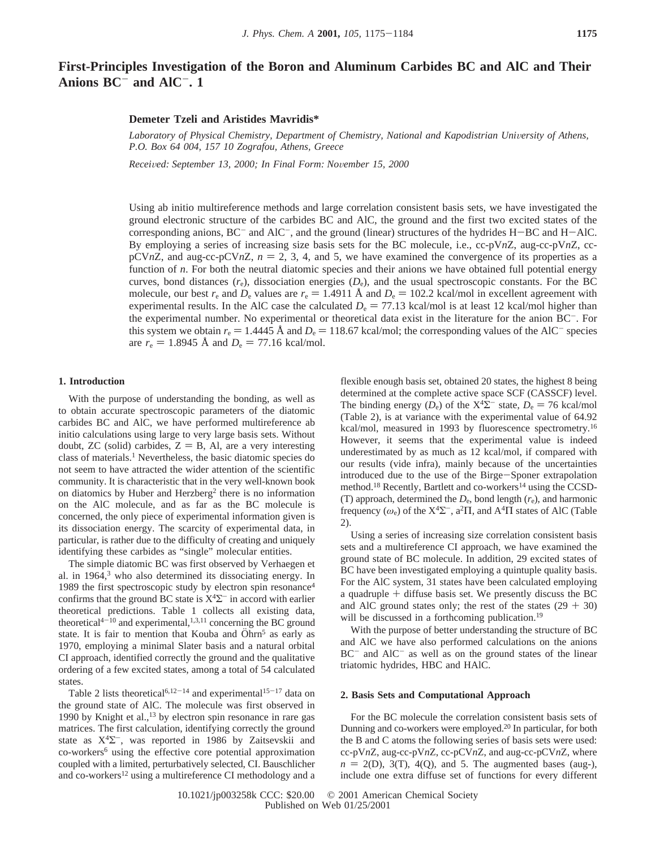# **First-Principles Investigation of the Boron and Aluminum Carbides BC and AlC and Their Anions BC**- **and AlC**-**. 1**

## **Demeter Tzeli and Aristides Mavridis\***

Laboratory of Physical Chemistry, Department of Chemistry, National and Kapodistrian University of Athens, *P.O. Box 64 004, 157 10 Zografou, Athens, Greece*

*Recei*V*ed: September 13, 2000; In Final Form: No*V*ember 15, 2000*

Using ab initio multireference methods and large correlation consistent basis sets, we have investigated the ground electronic structure of the carbides BC and AlC, the ground and the first two excited states of the corresponding anions,  $BC^-$  and  $AIC^-$ , and the ground (linear) structures of the hydrides  $H-BC$  and  $H-ALC$ . By employing a series of increasing size basis sets for the BC molecule, i.e., cc-pV*n*Z, aug-cc-pV*n*Z, ccpCV*n*Z, and aug-cc-pCV*n*Z,  $n = 2, 3, 4$ , and 5, we have examined the convergence of its properties as a function of *n*. For both the neutral diatomic species and their anions we have obtained full potential energy curves, bond distances  $(r<sub>e</sub>)$ , dissociation energies  $(D<sub>e</sub>)$ , and the usual spectroscopic constants. For the BC molecule, our best  $r_e$  and  $D_e$  values are  $r_e = 1.4911 \text{ Å}$  and  $D_e = 102.2 \text{ kcal/mol}$  in excellent agreement with experimental results. In the AlC case the calculated  $D_e = 77.13$  kcal/mol is at least 12 kcal/mol higher than the experimental number. No experimental or theoretical data exist in the literature for the anion BC-. For this system we obtain  $r_e = 1.4445$  Å and  $D_e = 118.67$  kcal/mol; the corresponding values of the AlC<sup>-</sup> species are  $r_e = 1.8945 \text{ Å}$  and  $D_e = 77.16 \text{ kcal/mol}$ .

## **1. Introduction**

With the purpose of understanding the bonding, as well as to obtain accurate spectroscopic parameters of the diatomic carbides BC and AlC, we have performed multireference ab initio calculations using large to very large basis sets. Without doubt,  $ZC$  (solid) carbides,  $Z = B$ , Al, are a very interesting class of materials.1 Nevertheless, the basic diatomic species do not seem to have attracted the wider attention of the scientific community. It is characteristic that in the very well-known book on diatomics by Huber and Herzberg2 there is no information on the AlC molecule, and as far as the BC molecule is concerned, the only piece of experimental information given is its dissociation energy. The scarcity of experimental data, in particular, is rather due to the difficulty of creating and uniquely identifying these carbides as "single" molecular entities.

The simple diatomic BC was first observed by Verhaegen et al. in  $1964$ ,<sup>3</sup> who also determined its dissociating energy. In 1989 the first spectroscopic study by electron spin resonance4 confirms that the ground BC state is  $X^4\Sigma^-$  in accord with earlier theoretical predictions. Table 1 collects all existing data, theoretical<sup>4-10</sup> and experimental,<sup>1,3,11</sup> concerning the BC ground state. It is fair to mention that Kouba and Öhrn<sup>5</sup> as early as 1970, employing a minimal Slater basis and a natural orbital CI approach, identified correctly the ground and the qualitative ordering of a few excited states, among a total of 54 calculated states.

Table 2 lists theoretical<sup>6,12-14</sup> and experimental<sup>15-17</sup> data on the ground state of AlC. The molecule was first observed in 1990 by Knight et al., $^{13}$  by electron spin resonance in rare gas matrices. The first calculation, identifying correctly the ground state as X4Σ-, was reported in 1986 by Zaitsevskii and co-workers6 using the effective core potential approximation coupled with a limited, perturbatively selected, CI. Bauschlicher and co-workers<sup>12</sup> using a multireference CI methodology and a

flexible enough basis set, obtained 20 states, the highest 8 being determined at the complete active space SCF (CASSCF) level. The binding energy ( $D_e$ ) of the  $X^4\Sigma^-$  state,  $D_e = 76$  kcal/mol (Table 2), is at variance with the experimental value of 64.92 kcal/mol, measured in 1993 by fluorescence spectrometry.16 However, it seems that the experimental value is indeed underestimated by as much as 12 kcal/mol, if compared with our results (vide infra), mainly because of the uncertainties introduced due to the use of the Birge-Sponer extrapolation method.<sup>18</sup> Recently, Bartlett and co-workers<sup>14</sup> using the CCSD-(T) approach, determined the  $D_e$ , bond length  $(r_e)$ , and harmonic frequency ( $\omega_e$ ) of the X<sup>4</sup> $\Sigma^-$ , a<sup>2</sup> $\Pi$ , and A<sup>4</sup> $\Pi$  states of AlC (Table 2).

Using a series of increasing size correlation consistent basis sets and a multireference CI approach, we have examined the ground state of BC molecule. In addition, 29 excited states of BC have been investigated employing a quintuple quality basis. For the AlC system, 31 states have been calculated employing a quadruple + diffuse basis set. We presently discuss the BC and AlC ground states only; the rest of the states  $(29 + 30)$ will be discussed in a forthcoming publication.<sup>19</sup>

With the purpose of better understanding the structure of BC and AlC we have also performed calculations on the anions BC<sup>-</sup> and AlC<sup>-</sup> as well as on the ground states of the linear triatomic hydrides, HBC and HAlC.

## **2. Basis Sets and Computational Approach**

For the BC molecule the correlation consistent basis sets of Dunning and co-workers were employed.<sup>20</sup> In particular, for both the B and C atoms the following series of basis sets were used: cc-pV*n*Z, aug-cc-pV*n*Z, cc-pCV*n*Z, and aug-cc-pCV*n*Z, where  $n = 2(D)$ , 3(T), 4(Q), and 5. The augmented bases (aug-), include one extra diffuse set of functions for every different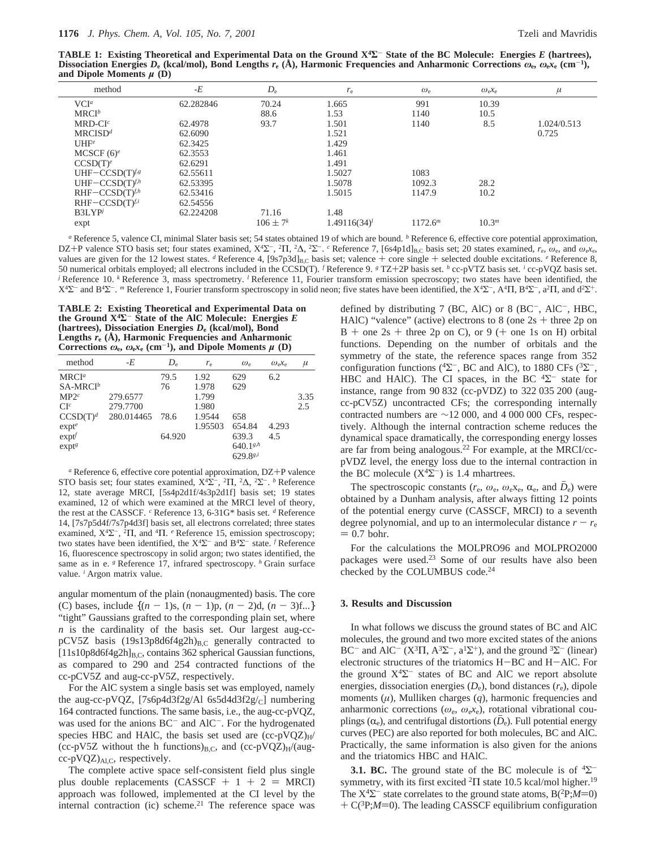**TABLE 1: Existing Theoretical and Experimental Data on the Ground X4Σ**- **State of the BC Molecule: Energies** *E* **(hartrees),** Dissociation Energies  $D_e$  (kcal/mol), Bond Lengths  $r_e$  (Å), Harmonic Frequencies and Anharmonic Corrections  $\omega_e$ ,  $\omega_e$ ,  $c_e$  (cm<sup>-1</sup>), **and Dipole Moments** *µ* **(D)**

| method               | $-E$      | $D_{\rm e}$     | $r_{\rm e}$       | $\omega_{\rm e}$ | $\omega_{e}x_{e}$ | $\mu$       |
|----------------------|-----------|-----------------|-------------------|------------------|-------------------|-------------|
| VCI <sup>a</sup>     | 62.282846 | 70.24           | 1.665             | 991              | 10.39             |             |
| $MRCI^b$             |           | 88.6            | 1.53              | 1140             | 10.5              |             |
| $MRD-CIc$            | 62.4978   | 93.7            | 1.501             | 1140             | 8.5               | 1.024/0.513 |
| MRCISD <sup>d</sup>  | 62.6090   |                 | 1.521             |                  |                   | 0.725       |
| UHF <sup>e</sup>     | 62.3425   |                 | 1.429             |                  |                   |             |
| MCSCF $(6)^e$        | 62.3553   |                 | 1.461             |                  |                   |             |
| CCSD(T) <sup>e</sup> | 62.6291   |                 | 1.491             |                  |                   |             |
| UHF-CCSD(T) $f.g.$   | 62.55611  |                 | 1.5027            | 1083             |                   |             |
| UHF-CCSD $(T)^{f,h}$ | 62.53395  |                 | 1.5078            | 1092.3           | 28.2              |             |
| $RHF-CCSD(T)^{f,h}$  | 62.53416  |                 | 1.5015            | 1147.9           | 10.2              |             |
| $RHF-CCSD(T)^{f,i}$  | 62.54556  |                 |                   |                  |                   |             |
| <b>B3LYP</b>         | 62.224208 | 71.16           | 1.48              |                  |                   |             |
| expt                 |           | $106 \pm 7^{k}$ | $1.49116(34)^{l}$ | $1172.6^m$       | 10.3 <sup>m</sup> |             |
|                      |           |                 |                   |                  |                   |             |

*<sup>a</sup>* Reference 5, valence CI, minimal Slater basis set; 54 states obtained 19 of which are bound. *<sup>b</sup>* Reference 6, effective core potential approximation, DZ+P valence STO basis set; four states examined, X<sup>4</sup>Σ<sup>-</sup>, <sup>2</sup>Π, <sup>2</sup>Δ, <sup>2</sup>Σ<sup>-</sup>. <sup>*c*</sup> Reference 7, [6s4p1d]<sub>B,C</sub> basis set; 20 states examined, *r<sub>e</sub>*,  $\omega_e$ , and  $\omega_e$ *x<sub>e</sub>*, values are given for the 12 lowest states.  $d$  Reference 4, [9s7p3d]<sub>B,C</sub> basis set; valence + core single + selected double excitations.  $e$  Reference 8, 50 numerical orbitals employed; all electrons included in the CCSD(T). *<sup>f</sup>* Reference 9. *<sup>g</sup>* TZ+2P basis set. *<sup>h</sup>* cc-pVTZ basis set. *<sup>i</sup>* cc-pVQZ basis set. *j* Reference 10. *k* Reference 3, mass spectrometry. *l* Reference 11, Fourier transform emission specroscopy; two states have been identified, the  $X^4\Sigma^-$  and B<sup>4</sup>Σ<sup>-</sup>. <sup>*m*</sup> Reference 1, Fourier transform spectroscopy in solid neon; five states have been identified, the X<sup>4</sup>Σ<sup>-</sup>, A<sup>4</sup>Π, B<sup>4</sup>Σ<sup>-</sup>, a<sup>2</sup>Π, and d<sup>2</sup>Σ<sup>+</sup>.

**TABLE 2: Existing Theoretical and Experimental Data on the Ground**  $X^4\Sigma^-$  **State of the AlC Molecule: Energies**  $E$ **(hartrees), Dissociation Energies** *D***<sup>e</sup> (kcal/mol), Bond Lengths** *r***<sup>e</sup> (Å), Harmonic Frequencies and Anharmonic** Corrections  $\omega_e$ ,  $\omega_e x_e$  (cm<sup>-1</sup>), and Dipole Moments  $\mu$  (D)

| method               | -E         | $D_{\rm e}$ | $r_{\rm e}$ | $\omega_{\rm e}$     | $\omega_{\alpha}x_{\alpha}$ | $\mu$ |
|----------------------|------------|-------------|-------------|----------------------|-----------------------------|-------|
| $MRCI^a$             |            | 79.5        | 1.92        | 629                  | 6.2                         |       |
| $SA-MRCI^b$          |            | 76          | 1.978       | 629                  |                             |       |
| MP2 <sup>c</sup>     | 279.6577   |             | 1.799       |                      |                             | 3.35  |
| $CI^c$               | 279,7700   |             | 1.980       |                      |                             | 2.5   |
| CCSD(T) <sup>d</sup> | 280.014465 | 78.6        | 1.9544      | 658                  |                             |       |
| exp <sup>e</sup>     |            |             | 1.95503     | 654.84               | 4.293                       |       |
| $exp t^f$            |            | 64.920      |             | 639.3                | 4.5                         |       |
| exp <sup>g</sup>     |            |             |             | $640.1^{g,h}$        |                             |       |
|                      |            |             |             | 629.8 <sup>g,i</sup> |                             |       |

*<sup>a</sup>* Reference 6, effective core potential approximation, DZ+P valence STO basis set; four states examined, X<sup>4</sup>Σ<sup>−</sup>, <sup>2</sup>Π, <sup>2</sup>Δ, <sup>2</sup>Σ<sup>−</sup>. <sup>*b*</sup> Reference 12, state average MRCI, [5s4p2d1f/4s3p2d1f] basis set; 19 states examined, 12 of which were examined at the MRCI level of theory, the rest at the CASSCF. *<sup>c</sup>* Reference 13, 6-31G\* basis set. *<sup>d</sup>* Reference 14, [7s7p5d4f/7s7p4d3f] basis set, all electrons correlated; three states examined, X4Σ-, <sup>2</sup>Π, and <sup>4</sup>Π. *<sup>e</sup>* Reference 15, emission spectroscopy; two states have been identified, the  $X^4\Sigma^-$  and  $B^4\Sigma^-$  state. *f* Reference 16, fluorescence spectroscopy in solid argon; two states identified, the same as in e. <sup>*g*</sup> Reference 17, infrared spectroscopy. *h* Grain surface value. *<sup>i</sup>* Argon matrix value.

angular momentum of the plain (nonaugmented) basis. The core (C) bases, include  $\{(n-1)s, (n-1)p, (n-2)d, (n-3)f...\}$ "tight" Gaussians grafted to the corresponding plain set, where *n* is the cardinality of the basis set. Our largest aug-ccpCV5Z basis (19s13p8d6f4g2h)<sub>B,C</sub> generally contracted to  $[11s10p8d6f4g2h]_{B,C}$ , contains 362 spherical Gaussian functions, as compared to 290 and 254 contracted functions of the cc-pCV5Z and aug-cc-pV5Z, respectively.

For the AlC system a single basis set was employed, namely the aug-cc-pVQZ,  $[7s6p4d3f2g/A16s5d4d3f2g/c]$  numbering 164 contracted functions. The same basis, i.e., the aug-cc-pVQZ, was used for the anions BC<sup>-</sup> and AlC<sup>-</sup>. For the hydrogenated species HBC and HAlC, the basis set used are  $(cc-pVQZ)_{H}/$ (cc-pV5Z without the h functions) $_{B,C}$ , and (cc-pVQZ)<sub>H</sub>/(aug $cc$ -pVQZ) $_{Al,C}$ , respectively.

The complete active space self-consistent field plus single plus double replacements (CASSCF +  $1 + 2 = MRCI$ ) approach was followed, implemented at the CI level by the internal contraction (ic) scheme.<sup>21</sup> The reference space was defined by distributing 7 (BC, AlC) or 8 (BC $^-$ , AlC $^-$ , HBC, HAlC) "valence" (active) electrons to  $8$  (one  $2s +$  three  $2p$  on  $B +$  one 2s + three 2p on C), or 9 (+ one 1s on H) orbital functions. Depending on the number of orbitals and the symmetry of the state, the reference spaces range from 352 configuration functions ( ${}^{4}\Sigma^{-}$ , BC and AlC), to 1880 CFs ( ${}^{3}\Sigma^{-}$ , HBC and HAlC). The CI spaces, in the BC  ${}^{4}\Sigma^{-}$  state for instance, range from 90 832 (cc-pVDZ) to 322 035 200 (augcc-pCV5Z) uncontracted CFs; the corresponding internally contracted numbers are ∼12 000, and 4 000 000 CFs, respectively. Although the internal contraction scheme reduces the dynamical space dramatically, the corresponding energy losses are far from being analogous.22 For example, at the MRCI/ccpVDZ level, the energy loss due to the internal contraction in the BC molecule  $(X<sup>4</sup>\Sigma^{-})$  is 1.4 mhartrees.

The spectroscopic constants ( $r_e$ ,  $\omega_e$ ,  $\omega_e$ x<sub>e</sub>,  $\alpha_e$ , and  $D_e$ ) were obtained by a Dunham analysis, after always fitting 12 points of the potential energy curve (CASSCF, MRCI) to a seventh degree polynomial, and up to an intermolecular distance  $r - r_e$  $= 0.7$  bohr.

For the calculations the MOLPRO96 and MOLPRO2000 packages were used.23 Some of our results have also been checked by the COLUMBUS code.<sup>24</sup>

#### **3. Results and Discussion**

In what follows we discuss the ground states of BC and AlC molecules, the ground and two more excited states of the anions BC<sup>-</sup> and AlC<sup>-</sup> (X<sup>3</sup> $\Pi$ , A<sup>3</sup> $\Sigma$ <sup>-</sup>, a<sup>1</sup> $\Sigma$ <sup>+</sup>), and the ground <sup>3</sup> $\Sigma$ <sup>-</sup> (linear) electronic structures of the triatomics H-BC and H-AlC. For the ground  $X^4\Sigma^-$  states of BC and AlC we report absolute energies, dissociation energies  $(D_e)$ , bond distances  $(r_e)$ , dipole moments (*µ*), Mulliken charges (*q*), harmonic frequencies and anharmonic corrections ( $\omega_e$ ,  $\omega_e x_e$ ), rotational vibrational couplings  $(\alpha_e)$ , and centrifugal distortions  $(D_e)$ . Full potential energy curves (PEC) are also reported for both molecules, BC and AlC. Practically, the same information is also given for the anions and the triatomics HBC and HAlC.

**3.1. BC.** The ground state of the BC molecule is of  ${}^{4}\Sigma^{-}$ symmetry, with its first excited  ${}^{2}\Pi$  state 10.5 kcal/mol higher.<sup>19</sup> The  $X^4\Sigma^-$  state correlates to the ground state atoms,  $B(^2P;M=0)$  $+ C(^{3}P; M=0)$ . The leading CASSCF equilibrium configuration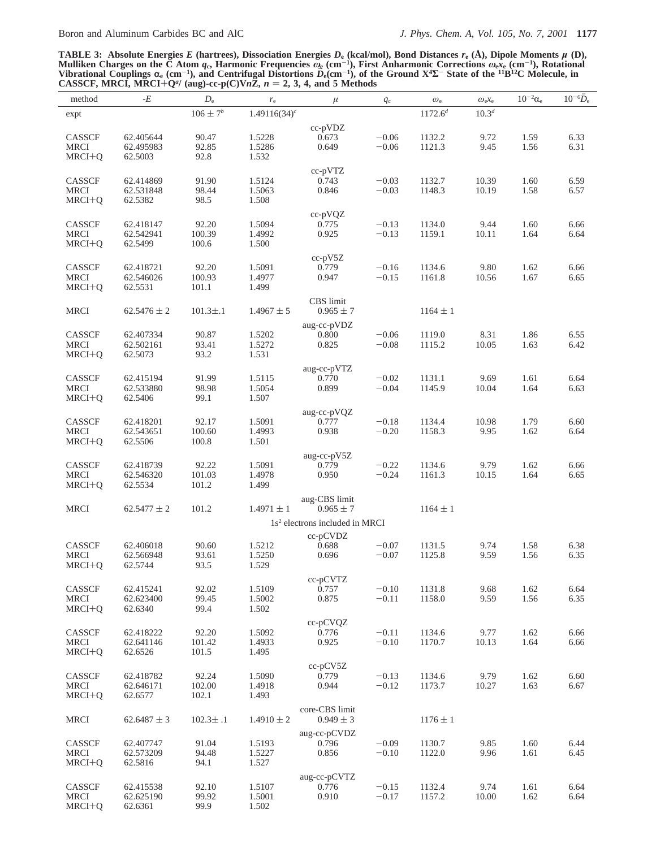**TABLE 3: Absolute Energies** *E* **(hartrees), Dissociation Energies** *D***<sup>e</sup> (kcal/mol), Bond Distances** *r***<sup>e</sup> (Å), Dipole Moments** *µ* **(D), Mulliken Charges on the C Atom** *q***c, Harmonic Frequencies** *ω***<sup>e</sup> (cm**-**1), First Anharmonic Corrections** *ω***e***x***<sup>e</sup> (cm**-**1), Rotational Vibrational Couplings**  $\alpha_e$  (cm<sup>-1</sup>), and Centrifugal Distortions  $D_e$ (cm<sup>-1</sup>), of the Ground X<sup>4</sup>**Σ**<sup>-</sup> State of the <sup>11</sup>B<sup>12</sup>C Molecule, in CASSCF, MRCI, MRCI+O<sup>*a*</sup> (aug)-cc-p(C)Vn**Z**, n = 2, 3, 4, and 5 Methods **CASSCF, MRCI, MRCI**+ $Q^a$ / (aug)-cc-p(C)V*n***Z**, *n* = 2, 3, 4, and 5 Methods

| method                | -E                     | $D_{\rm e}$     | $r_{\rm e}$      | $\mu$                                      | $q_{\rm c}$        | $\omega_{\rm e}$ | $\omega_{\rm e}x_{\rm e}$ | $10^{-2}\alpha_e$ | $10^{-6} \overline{D}_e$ |
|-----------------------|------------------------|-----------------|------------------|--------------------------------------------|--------------------|------------------|---------------------------|-------------------|--------------------------|
| expt                  |                        | $106\pm7^b$     | $1.49116(34)^c$  |                                            |                    | $1172.6^{d}$     | $10.3^{d}$                |                   |                          |
|                       |                        |                 |                  | $cc-pVDZ$                                  |                    |                  |                           |                   |                          |
| CASSCF                | 62.405644              | 90.47           | 1.5228           | 0.673                                      | $-0.06$            | 1132.2           | 9.72                      | 1.59              | 6.33                     |
| <b>MRCI</b>           | 62.495983              | 92.85           | 1.5286           | 0.649                                      | $-0.06$            | 1121.3           | 9.45                      | 1.56              | 6.31                     |
| $MRCI+Q$              | 62.5003                | 92.8            | 1.532            |                                            |                    |                  |                           |                   |                          |
|                       |                        |                 |                  | $cc$ -p $VTZ$                              |                    |                  |                           |                   |                          |
| CASSCF                | 62.414869              | 91.90           | 1.5124           | 0.743                                      | $-0.03$            | 1132.7           | 10.39                     | 1.60              | 6.59                     |
| <b>MRCI</b>           | 62.531848              | 98.44           | 1.5063           | 0.846                                      | $-0.03$            | 1148.3           | 10.19                     | 1.58              | 6.57                     |
| $MRCI+Q$              | 62.5382                | 98.5            | 1.508            |                                            |                    |                  |                           |                   |                          |
|                       |                        |                 |                  |                                            |                    |                  |                           |                   |                          |
| CASSCF                | 62.418147              | 92.20           | 1.5094           | $cc-pVQZ$<br>0.775                         | $-0.13$            | 1134.0           | 9.44                      | 1.60              | 6.66                     |
| <b>MRCI</b>           | 62.542941              | 100.39          | 1.4992           | 0.925                                      | $-0.13$            | 1159.1           | 10.11                     | 1.64              | 6.64                     |
| $MRCI+Q$              | 62.5499                | 100.6           | 1.500            |                                            |                    |                  |                           |                   |                          |
|                       |                        |                 |                  | $cc-pV5Z$                                  |                    |                  |                           |                   |                          |
| CASSCF                | 62.418721              | 92.20           | 1.5091           | 0.779                                      | $-0.16$            | 1134.6           | 9.80                      | 1.62              | 6.66                     |
| <b>MRCI</b>           | 62.546026              | 100.93          | 1.4977           | 0.947                                      | $-0.15$            | 1161.8           | 10.56                     | 1.67              | 6.65                     |
| MRCI+Q                | 62.5531                | 101.1           | 1.499            |                                            |                    |                  |                           |                   |                          |
|                       |                        |                 |                  | <b>CBS</b> limit                           |                    |                  |                           |                   |                          |
| <b>MRCI</b>           | $62.5476 \pm 2$        | $101.3 \pm .1$  | $1.4967 \pm 5$   | $0.965 \pm 7$                              |                    | $1164 \pm 1$     |                           |                   |                          |
|                       |                        |                 |                  |                                            |                    |                  |                           |                   |                          |
|                       |                        |                 |                  | aug-cc-pVDZ                                |                    |                  |                           |                   |                          |
| CASSCF<br><b>MRCI</b> | 62.407334<br>62.502161 | 90.87<br>93.41  | 1.5202<br>1.5272 | 0.800<br>0.825                             | $-0.06$<br>$-0.08$ | 1119.0<br>1115.2 | 8.31<br>10.05             | 1.86<br>1.63      | 6.55<br>6.42             |
| $MRCI+Q$              | 62.5073                | 93.2            | 1.531            |                                            |                    |                  |                           |                   |                          |
|                       |                        |                 |                  |                                            |                    |                  |                           |                   |                          |
|                       |                        |                 |                  | aug-cc-pVTZ                                |                    |                  |                           |                   |                          |
| CASSCF                | 62.415194              | 91.99           | 1.5115           | 0.770                                      | $-0.02$            | 1131.1<br>1145.9 | 9.69                      | 1.61              | 6.64                     |
| <b>MRCI</b>           | 62.533880<br>62.5406   | 98.98<br>99.1   | 1.5054<br>1.507  | 0.899                                      | $-0.04$            |                  | 10.04                     | 1.64              | 6.63                     |
| $MRCI+Q$              |                        |                 |                  |                                            |                    |                  |                           |                   |                          |
|                       |                        |                 |                  | aug-cc-pVQZ                                |                    |                  |                           |                   |                          |
| CASSCF                | 62.418201              | 92.17           | 1.5091           | 0.777                                      | $-0.18$            | 1134.4           | 10.98                     | 1.79              | 6.60                     |
| <b>MRCI</b>           | 62.543651              | 100.60          | 1.4993           | 0.938                                      | $-0.20$            | 1158.3           | 9.95                      | 1.62              | 6.64                     |
| $MRCI+Q$              | 62.5506                | 100.8           | 1.501            |                                            |                    |                  |                           |                   |                          |
|                       |                        |                 |                  | aug-cc- $pV5Z$                             |                    |                  |                           |                   |                          |
| CASSCF                | 62.418739              | 92.22           | 1.5091           | 0.779                                      | $-0.22$            | 1134.6           | 9.79                      | 1.62              | 6.66                     |
| <b>MRCI</b>           | 62.546320              | 101.03<br>101.2 | 1.4978<br>1.499  | 0.950                                      | $-0.24$            | 1161.3           | 10.15                     | 1.64              | 6.65                     |
| MRCI+Q                | 62.5534                |                 |                  |                                            |                    |                  |                           |                   |                          |
|                       |                        |                 |                  | aug-CBS limit                              |                    |                  |                           |                   |                          |
| <b>MRCI</b>           | $62.5477 \pm 2$        | 101.2           | $1.4971 \pm 1$   | $0.965 \pm 7$                              |                    | $1164 \pm 1$     |                           |                   |                          |
|                       |                        |                 |                  | 1s <sup>2</sup> electrons included in MRCI |                    |                  |                           |                   |                          |
|                       |                        |                 |                  | $cc$ -p $CVDZ$                             |                    |                  |                           |                   |                          |
| CASSCF                | 62.406018              | 90.60           | 1.5212           | 0.688                                      | $-0.07$            | 1131.5           | 9.74                      | 1.58              | 6.38                     |
| <b>MRCI</b>           | 62.566948              | 93.61           | 1.5250           | 0.696                                      | $-0.07$            | 1125.8           | 9.59                      | 1.56              | 6.35                     |
| $MRCI+Q$              | 62.5744                | 93.5            | 1.529            |                                            |                    |                  |                           |                   |                          |
|                       |                        |                 |                  | cc-pCVTZ                                   |                    |                  |                           |                   |                          |
| CASSCF                | 62.415241              | 92.02           | 1.5109           | 0.757                                      | $-0.10$            | 1131.8           | 9.68                      | 1.62              | 6.64                     |
| <b>MRCI</b>           | 62.623400              | 99.45           | 1.5002           | 0.875                                      | $-0.11$            | 1158.0           | 9.59                      | 1.56              | 6.35                     |
| $MRCI+Q$              | 62.6340                | 99.4            | 1.502            |                                            |                    |                  |                           |                   |                          |
|                       |                        |                 |                  | $cc$ -p $CVQZ$                             |                    |                  |                           |                   |                          |
| CASSCF                | 62.418222              | 92.20           | 1.5092           | 0.776                                      | $-0.11$            | 1134.6           | 9.77                      | 1.62              | 6.66                     |
| <b>MRCI</b>           | 62.641146              | 101.42          | 1.4933           | 0.925                                      | $-0.10$            | 1170.7           | 10.13                     | 1.64              | 6.66                     |
| $MRCI+Q$              | 62.6526                | 101.5           | 1.495            |                                            |                    |                  |                           |                   |                          |
|                       |                        |                 |                  | cc-pCV5Z                                   |                    |                  |                           |                   |                          |
| CASSCF                | 62.418782              | 92.24           | 1.5090           | 0.779                                      | $-0.13$            | 1134.6           | 9.79                      | 1.62              | 6.60                     |
| <b>MRCI</b>           | 62.646171              | 102.00          | 1.4918           | 0.944                                      | $-0.12$            | 1173.7           | 10.27                     | 1.63              | 6.67                     |
| $MRCI+Q$              | 62.6577                | 102.1           | 1.493            |                                            |                    |                  |                           |                   |                          |
|                       |                        |                 |                  | core-CBS limit                             |                    |                  |                           |                   |                          |
| <b>MRCI</b>           | $62.6487 \pm 3$        | $102.3 \pm .1$  | $1.4910 \pm 2$   | $0.949 \pm 3$                              |                    | $1176 \pm 1$     |                           |                   |                          |
|                       |                        |                 |                  | aug-cc-pCVDZ                               |                    |                  |                           |                   |                          |
| CASSCF                | 62.407747              | 91.04           | 1.5193           | 0.796                                      | $-0.09$            | 1130.7           | 9.85                      | 1.60              | 6.44                     |
| <b>MRCI</b>           | 62.573209              | 94.48           | 1.5227           | 0.856                                      | $-0.10$            | 1122.0           | 9.96                      | 1.61              | 6.45                     |
| MRCI+Q                | 62.5816                | 94.1            | 1.527            |                                            |                    |                  |                           |                   |                          |
|                       |                        |                 |                  | aug-cc-pCVTZ                               |                    |                  |                           |                   |                          |
| CASSCF                | 62.415538              | 92.10           | 1.5107           | 0.776                                      | $-0.15$            | 1132.4           | 9.74                      | 1.61              | 6.64                     |
| <b>MRCI</b>           | 62.625190              | 99.92           | 1.5001           | 0.910                                      | $-0.17$            | 1157.2           | 10.00                     | 1.62              | 6.64                     |
| $MRCI+Q$              | 62.6361                | 99.9            | 1.502            |                                            |                    |                  |                           |                   |                          |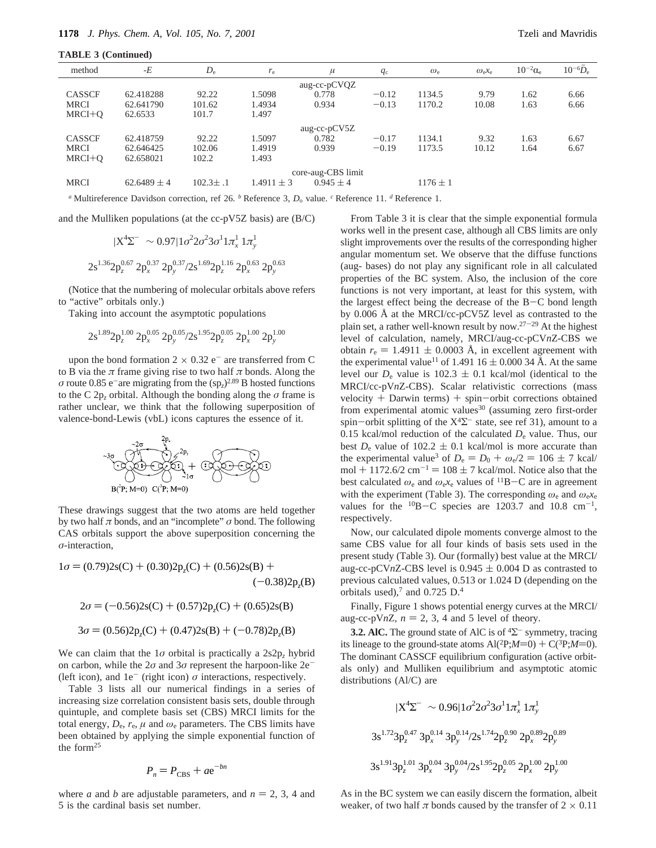**TABLE 3 (Continued)**

| method        | $-E$               | $D_{\rm e}$    | $r_{\rm e}$    | $\mu$         | $q_{\rm c}$ | $\omega_{\rm e}$ | $\omega_{e}x_{e}$ | $10^{-2}\alpha_e$ | $10^{-6}D_e$ |
|---------------|--------------------|----------------|----------------|---------------|-------------|------------------|-------------------|-------------------|--------------|
|               |                    |                |                | aug-cc-pCVQZ  |             |                  |                   |                   |              |
| <b>CASSCF</b> | 62.418288          | 92.22          | 1.5098         | 0.778         | $-0.12$     | 1134.5           | 9.79              | 1.62              | 6.66         |
| <b>MRCI</b>   | 62.641790          | 101.62         | 1.4934         | 0.934         | $-0.13$     | 1170.2           | 10.08             | 1.63              | 6.66         |
| $MRCI+O$      | 62.6533            | 101.7          | 1.497          |               |             |                  |                   |                   |              |
|               |                    |                |                | aug-cc-pCV5Z  |             |                  |                   |                   |              |
| <b>CASSCF</b> | 62.418759          | 92.22          | 1.5097         | 0.782         | $-0.17$     | 1134.1           | 9.32              | 1.63              | 6.67         |
| <b>MRCI</b>   | 62.646425          | 102.06         | 1.4919         | 0.939         | $-0.19$     | 1173.5           | 10.12             | 1.64              | 6.67         |
| $MRCI+O$      | 62.658021          | 102.2          | 1.493          |               |             |                  |                   |                   |              |
|               | core-aug-CBS limit |                |                |               |             |                  |                   |                   |              |
| <b>MRCI</b>   | $62.6489 \pm 4$    | $102.3 \pm .1$ | $1.4911 \pm 3$ | $0.945 \pm 4$ |             | $1176 \pm 1$     |                   |                   |              |
|               |                    |                |                |               |             |                  |                   |                   |              |

*<sup>a</sup>* Multireference Davidson correction, ref 26. *<sup>b</sup>* Reference 3, *D*<sup>o</sup> value. *<sup>c</sup>* Reference 11. *<sup>d</sup>* Reference 1.

and the Mulliken populations (at the cc-pV5Z basis) are (B/C)

$$
|X^4\Sigma^-\rangle \sim 0.97|1\sigma^2 2\sigma^2 3\sigma^1 1\pi_x^1 1\pi_y^1\rangle
$$

$$
2s^{1.36}2p_z^{0.67} 2p_x^{0.37} 2p_y^{0.37} / 2s^{1.69} 2p_z^{1.16} 2p_x^{0.63} 2p_y^{0.63}
$$

(Notice that the numbering of molecular orbitals above refers to "active" orbitals only.)

Taking into account the asymptotic populations

$$
2s^{1.89}2p_z^{1.00}\;2p_x^{0.05}\;2p_y^{0.05}/2s^{1.95}2p_z^{0.05}\;2p_x^{1.00}\;2p_y^{1.00}
$$

upon the bond formation  $2 \times 0.32$  e<sup>-</sup> are transferred from C to B via the  $\pi$  frame giving rise to two half  $\pi$  bonds. Along the *σ* route 0.85 e<sup>-</sup>are migrating from the  $(sp<sub>z</sub>)<sup>2.89</sup>$  B hosted functions to the C 2 $p_z$  orbital. Although the bonding along the  $\sigma$  frame is rather unclear, we think that the following superposition of valence-bond-Lewis (vbL) icons captures the essence of it.



These drawings suggest that the two atoms are held together by two half *π* bonds, and an "incomplete" *σ* bond. The following CAS orbitals support the above superposition concerning the *σ*-interaction,

$$
1\sigma = (0.79)2s(C) + (0.30)2p_z(C) + (0.56)2s(B) + (-0.38)2p_z(B)
$$
  
\n
$$
2\sigma = (-0.56)2s(C) + (0.57)2p_z(C) + (0.65)2s(B)
$$
  
\n
$$
3\sigma = (0.56)2p_z(C) + (0.47)2s(B) + (-0.78)2p_z(B)
$$

We can claim that the 1*σ* orbital is practically a 2s2p*<sup>z</sup>* hybrid on carbon, while the  $2\sigma$  and  $3\sigma$  represent the harpoon-like  $2e^-$ (left icon), and  $1e^-$  (right icon)  $\sigma$  interactions, respectively.

Table 3 lists all our numerical findings in a series of increasing size correlation consistent basis sets, double through quintuple, and complete basis set (CBS) MRCI limits for the total energy,  $D_e$ ,  $r_e$ ,  $\mu$  and  $\omega_e$  parameters. The CBS limits have been obtained by applying the simple exponential function of the form $25$ 

$$
P_n = P_{\rm CBS} + a e^{-bn}
$$

where *a* and *b* are adjustable parameters, and  $n = 2, 3, 4$  and 5 is the cardinal basis set number.

From Table 3 it is clear that the simple exponential formula works well in the present case, although all CBS limits are only slight improvements over the results of the corresponding higher angular momentum set. We observe that the diffuse functions (aug- bases) do not play any significant role in all calculated properties of the BC system. Also, the inclusion of the core functions is not very important, at least for this system, with the largest effect being the decrease of the  $B-C$  bond length by 0.006 Å at the MRCI/cc-pCV5Z level as contrasted to the plain set, a rather well-known result by now.<sup>27-29</sup> At the highest level of calculation, namely, MRCI/aug-cc-pCV*n*Z-CBS we obtain  $r_e = 1.4911 \pm 0.0003$  Å, in excellent agreement with the experimental value<sup>11</sup> of 1.491 16  $\pm$  0.000 34 Å. At the same level our  $D_e$  value is 102.3  $\pm$  0.1 kcal/mol (identical to the MRCI/cc-pV*n*Z-CBS). Scalar relativistic corrections (mass velocity  $+$  Darwin terms)  $+$  spin-orbit corrections obtained from experimental atomic values<sup>30</sup> (assuming zero first-order spin-orbit splitting of the  $X<sup>4</sup>\Sigma$ <sup>-</sup> state, see ref 31), amount to a 0.15 kcal/mol reduction of the calculated *D*<sup>e</sup> value. Thus, our best  $D_e$  value of 102.2  $\pm$  0.1 kcal/mol is more accurate than the experimental value<sup>3</sup> of  $D_e = D_0 + \omega_e/2 = 106 \pm 7$  kcal/ mol + 1172.6/2 cm<sup>-1</sup> = 108  $\pm$  7 kcal/mol. Notice also that the best calculated  $\omega_e$  and  $\omega_e x_e$  values of <sup>11</sup>B-C are in agreement with the experiment (Table 3). The corresponding  $\omega_e$  and  $\omega_e x_e$ values for the  $^{10}B-C$  species are 1203.7 and 10.8 cm<sup>-1</sup>, respectively.

Now, our calculated dipole moments converge almost to the same CBS value for all four kinds of basis sets used in the present study (Table 3). Our (formally) best value at the MRCI/ aug-cc-pCVnZ-CBS level is  $0.945 \pm 0.004$  D as contrasted to previous calculated values, 0.513 or 1.024 D (depending on the orbitals used), $7$  and 0.725 D.<sup>4</sup>

Finally, Figure 1 shows potential energy curves at the MRCI/ aug-cc-pV $nZ$ ,  $n = 2, 3, 4$  and 5 level of theory.

**3.2. AIC.** The ground state of AIC is of  ${}^4\Sigma^-$  symmetry, tracing its lineage to the ground-state atoms  $Al(^{2}P;M=0) + C(^{3}P;M=0)$ . The dominant CASSCF equilibrium configuration (active orbitals only) and Mulliken equilibrium and asymptotic atomic distributions (Al/C) are

$$
|X^4\Sigma^-\rangle \sim 0.96|1\sigma^2 2\sigma^2 3\sigma^1 1\pi_x^1 1\pi_y^1\rangle
$$
  
\n
$$
3s^{1.72}3p_z^{0.47} 3p_x^{0.14} 3p_y^{0.14}/2s^{1.74}2p_z^{0.90} 2p_x^{0.89}2p_y^{0.89}
$$
  
\n
$$
3s^{1.91}3p_z^{1.01} 3p_x^{0.04} 3p_y^{0.04}/2s^{1.95}2p_z^{0.05} 2p_x^{1.00} 2p_y^{1.00}
$$

As in the BC system we can easily discern the formation, albeit weaker, of two half  $\pi$  bonds caused by the transfer of  $2 \times 0.11$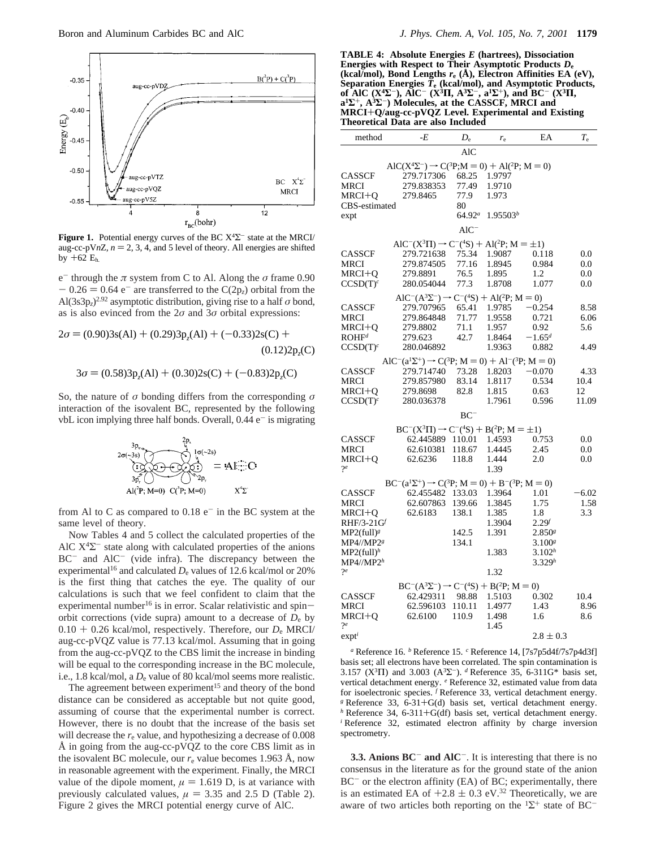

**Figure 1.** Potential energy curves of the BC X4Σ- state at the MRCI/ aug-cc-pV $nZ$ ,  $n = 2, 3, 4$ , and 5 level of theory. All energies are shifted by  $+62$   $E_h$ 

e<sup>-</sup> through the  $\pi$  system from C to Al. Along the  $\sigma$  frame 0.90  $- 0.26 = 0.64$  e<sup>-</sup> are transferred to the C(2p<sub>z</sub>) orbital from the Al(3s3p<sub>z</sub>)<sup>2.92</sup> asymptotic distribution, giving rise to a half  $\sigma$  bond, as is also evinced from the 2*σ* and 3*σ* orbital expressions:

 $2\sigma = (0.90)3s(A1) + (0.29)3p<sub>z</sub>(A1) + (-0.33)2s(C) +$  $(0.12)2p<sub>z</sub>(C)$ 

$$
3\sigma = (0.58)3p_z(A1) + (0.30)2s(C) + (-0.83)2p_z(C)
$$

So, the nature of *σ* bonding differs from the corresponding *σ* interaction of the isovalent BC, represented by the following vbL icon implying three half bonds. Overall,  $0.44$  e<sup>-</sup> is migrating



from Al to C as compared to  $0.18$  e<sup>-</sup> in the BC system at the same level of theory.

Now Tables 4 and 5 collect the calculated properties of the AlC  $X^4\Sigma^-$  state along with calculated properties of the anions BC<sup>-</sup> and AlC<sup>-</sup> (vide infra). The discrepancy between the experimental<sup>16</sup> and calculated  $D_e$  values of 12.6 kcal/mol or 20% is the first thing that catches the eye. The quality of our calculations is such that we feel confident to claim that the experimental number<sup>16</sup> is in error. Scalar relativistic and spinorbit corrections (vide supra) amount to a decrease of  $D_e$  by 0.10 <sup>+</sup> 0.26 kcal/mol, respectively. Therefore, our *<sup>D</sup>*<sup>e</sup> MRCI/ aug-cc-pVQZ value is 77.13 kcal/mol. Assuming that in going from the aug-cc-pVQZ to the CBS limit the increase in binding will be equal to the corresponding increase in the BC molecule, i.e., 1.8 kcal/mol, a  $D_e$  value of 80 kcal/mol seems more realistic.

The agreement between experiment<sup>15</sup> and theory of the bond distance can be considered as acceptable but not quite good, assuming of course that the experimental number is correct. However, there is no doubt that the increase of the basis set will decrease the  $r<sub>e</sub>$  value, and hypothesizing a decrease of  $0.008$ Å in going from the aug-cc-pVQZ to the core CBS limit as in the isovalent BC molecule, our  $r_e$  value becomes 1.963 Å, now in reasonable agreement with the experiment. Finally, the MRCI value of the dipole moment,  $\mu = 1.619$  D, is at variance with previously calculated values,  $\mu = 3.35$  and 2.5 D (Table 2). Figure 2 gives the MRCI potential energy curve of AlC.

**TABLE 4: Absolute Energies** *E* **(hartrees), Dissociation Energies with Respect to Their Asymptotic Products** *D***<sup>e</sup> (kcal/mol), Bond Lengths** *r***<sup>e</sup> (Å), Electron Affinities EA (eV),** Separation Energies  $\overline{T}_{e}$  (kcal/mol), and Asymptotic Products,<br>of AIC (X<sup>4</sup> $\Sigma$ <sup>-</sup>), AIC<sup>-</sup> (X<sup>3</sup>H, A<sup>3</sup> $\Sigma$ <sup>-</sup>, a<sup>1</sup> $\Sigma$ <sup>+</sup>), and BC<sup>-</sup> (X<sup>3</sup>H,  $a^1\Sigma^+$ ,  $A^3\Sigma^-$ ) Molecules, at the CASSCF, MRCI and **MRCI**+**Q/aug-cc-pVQZ Level. Experimental and Existing Theoretical Data are also Included**

| method                           | -E                                                                            | $D_{\rm e}$ | $r_{\rm e}$          | EA                   | $T_{\rm e}$ |
|----------------------------------|-------------------------------------------------------------------------------|-------------|----------------------|----------------------|-------------|
|                                  |                                                                               | <b>AlC</b>  |                      |                      |             |
|                                  | $AIC(X^{4}\Sigma^{-}) \rightarrow C({}^{3}P; M = 0) + Al({}^{2}P; M = 0)$     |             |                      |                      |             |
| CASSCF                           | 279.717306                                                                    | 68.25       | 1.9797               |                      |             |
| MRCI                             | 279.838353                                                                    | 77.49       | 1.9710               |                      |             |
| MRCI+Q                           | 279.8465                                                                      | 77.9        | 1.973                |                      |             |
| CBS-estimated                    |                                                                               | 80          |                      |                      |             |
| expt                             |                                                                               | $64.92^a$   | 1.95503 <sup>b</sup> |                      |             |
|                                  |                                                                               | $AIC^-$     |                      |                      |             |
|                                  | $AIC^{-}(X^{3}\Pi) \rightarrow C^{-}(^{4}S) + Al(^{2}P; M = \pm 1)$           |             |                      |                      |             |
| CASSCF                           | 279.721638                                                                    | 75.34       | 1.9087               | 0.118                | 0.0         |
| MRCI                             | 279.874505                                                                    | 77.16       | 1.8945               | 0.984                | 0.0         |
| MRCI+Q                           | 279.8891                                                                      | 76.5        | 1.895                | 1.2                  | 0.0         |
| $CCSD(T)^c$                      | 280.054044                                                                    | 77.3        | 1.8708               | 1.077                | 0.0         |
|                                  | $AIC^{-}(A^{3}\Sigma^{-}) \rightarrow C^{-}(^{4}S) + Al(^{2}P; M = 0)$        |             |                      |                      |             |
| CASSCF                           | 279.707965                                                                    | 65.41       | 1.9785               | $-0.254$             | 8.58        |
| MRCI                             | 279.864848                                                                    | 71.77       | 1.9558               | 0.721                | 6.06        |
| MRCI+0                           | 279.8802                                                                      | 71.1        | 1.957                | 0.92                 | 5.6         |
| $\mathrm{ROHF}^d$                | 279.623                                                                       | 42.7        | 1.8464               | $-1.65d$             |             |
| $CCSD(T)^c$                      | 280.046892                                                                    |             | 1.9363               | 0.882                | 4.49        |
|                                  | $AIC^{-}(a^{1}\Sigma^{+}) \rightarrow C(^{3}P; M = 0) + Al^{-}(^{3}P; M = 0)$ |             |                      |                      |             |
| CASSCF                           | 279.714740                                                                    | 73.28       | 1.8203               | $-0.070$             | 4.33        |
| MRCI                             | 279.857980                                                                    | 83.14       | 1.8117               | 0.534                | 10.4        |
| MRCI+Q                           | 279.8698                                                                      | 82.8        | 1.815                | 0.63                 | 12          |
| $CCSD(T)^c$                      | 280.036378                                                                    |             | 1.7961               | 0.596                | 11.09       |
|                                  |                                                                               | $BC^-$      |                      |                      |             |
|                                  | $BC^{-}(X^{3}\Pi) \rightarrow C^{-}(4S) + B(2P; M = \pm 1)$                   |             |                      |                      |             |
| CASSCF                           | 62.445889 110.01                                                              |             | 1.4593               | 0.753                | 0.0         |
| MRCI                             | 62.610381                                                                     | 118.67      | 1.4445               | 2.45                 | 0.0         |
| MRCI+O                           | 62.6236                                                                       | 118.8       | 1.444                | 2.0                  | 0.0         |
| ?e                               |                                                                               |             | 1.39                 |                      |             |
|                                  | $BC^{-}(a^{1}\Sigma^{+}) \rightarrow C(^{3}P; M = 0) + B^{-}(^{3}P; M = 0)$   |             |                      |                      |             |
| CASSCF                           | 62.455482                                                                     | 133.03      | 1.3964               | 1.01                 | -6.02       |
| MRCI                             | 62.607863                                                                     | 139.66      | 1.3845               | 1.75                 | 1.58        |
| MRCI+Q                           | 62.6183                                                                       | 138.1       | 1.385                | 1.8                  | 3.3         |
| $RHF/3-21G^f$                    |                                                                               |             | 1.3904               | $2.29^{f}$           |             |
| $MP2$ (full) <sup>g</sup>        |                                                                               | 142.5       | 1.391                | $2.850$ <sup>g</sup> |             |
| MP4//MP2 <sup>g</sup>            |                                                                               | 134.1       |                      | 3.100 <sup>g</sup>   |             |
| $MP2(full)^h$                    |                                                                               |             | 1.383                | 3.102 <sup>h</sup>   |             |
| $\mathrm{MP4}/\!/\mathrm{MP2}^h$ |                                                                               |             |                      | 3.329h               |             |
| $2^e$                            |                                                                               |             | 1.32                 |                      |             |
|                                  | $BC^{-}(A^{3}\Sigma^{-}) \rightarrow C^{-}(^{4}S) + B(^{2}P; M = 0)$          |             |                      |                      |             |
| CASSCF                           | 62.429311                                                                     | 98.88       | 1.5103               | 0.302                | 10.4        |
| MRCI                             | 62.596103                                                                     | 110.11      | 1.4977               | 1.43                 | 8.96        |
| MRCI+Q                           | 62.6100                                                                       | 110.9       | 1.498                | 1.6                  | 8.6         |
| 9e                               |                                                                               |             | 1.45                 |                      |             |
| $exp t^{\iota}$                  |                                                                               |             |                      | $2.8 \pm 0.3$        |             |
|                                  |                                                                               |             |                      |                      |             |

*<sup>a</sup>* Reference 16. *<sup>b</sup>* Reference 15. *<sup>c</sup>* Reference 14, [7s7p5d4f/7s7p4d3f] basis set; all electrons have been correlated. The spin contamination is 3.157 ( $X^3\Pi$ ) and 3.003 ( $A^3\Sigma^-$ ). *d* Reference 35, 6-311G\* basis set, vertical detachment energy. *<sup>e</sup>* Reference 32, estimated value from data for isoelectronic species. *<sup>f</sup>* Reference 33, vertical detachment energy. <sup>*g*</sup> Reference 33, 6-31+G(d) basis set, vertical detachment energy. *h* Reference 34, 6-311+G(df) basis set, vertical detachment energy. *i* Reference 32, estimated electron affinity by charge inversion spectrometry.

**3.3. Anions BC<sup>-</sup> and AlC<sup>-</sup>**. It is interesting that there is no consensus in the literature as for the ground state of the anion  $BC^-$  or the electron affinity (EA) of BC; experimentally, there is an estimated EA of  $+2.8 \pm 0.3$  eV.<sup>32</sup> Theoretically, we are aware of two articles both reporting on the  ${}^{1}\Sigma^{+}$  state of BC<sup>-</sup>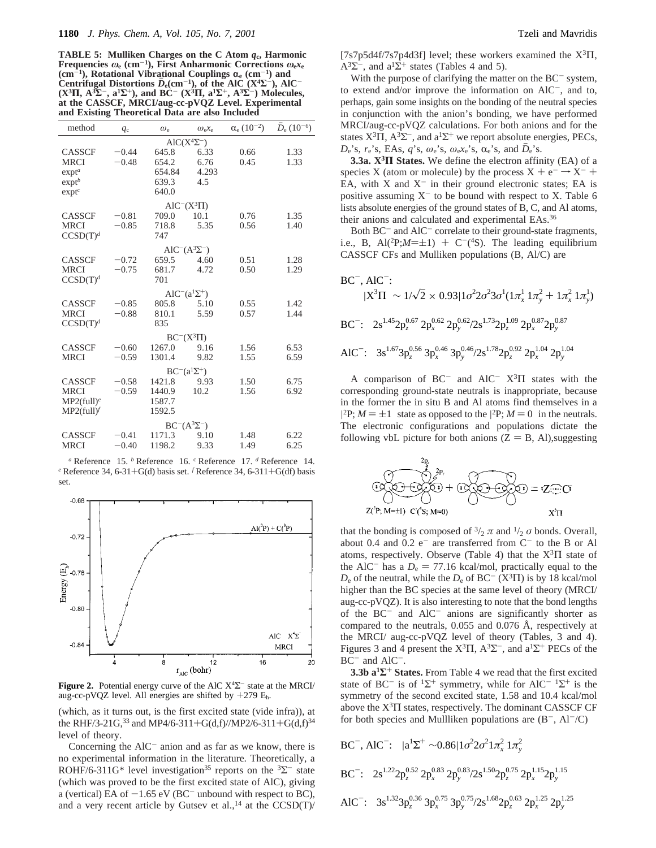**TABLE 5: Mulliken Charges on the C Atom** *q***c, Harmonic Frequencies**  $\omega_e$  (cm<sup>-1</sup>), First Anharmonic Corrections  $\omega_e x_e$ (cm<sup>-1</sup>), Rotational Vibrational Couplings  $\alpha_e$  (cm<sup>-1</sup>) and<br>Centrifugal Distortions  $\bar{D}_e$ (cm<sup>-1</sup>), of the AlC (X<sup>4</sup>X<sup>-</sup>), Al Centrifugal Distortions  $D_e$ (cm<sup>-1</sup>), of the AlC (X<sup>4</sup> $\Sigma^-$ ), AlC<sup>-</sup><br>(X<sup>3</sup>II, A<sup>3</sup> $\Sigma^-$ , a<sup>1</sup> $\Sigma^+$ ), and BC<sup>-</sup> (X<sup>3</sup>II, a<sup>1</sup> $\Sigma^+$ , A<sup>3</sup> $\Sigma^-$ ) Molecules, **at the CASSCF, MRCI/aug-cc-pVQZ Level. Experimental and Existing Theoretical Data are also Included**

| method               | $q_c$   | $\omega_{e}$ | $\omega_{e}x_{e}$          | $\alpha_e (10^{-2})$ | $D_e (10^{-6})$ |
|----------------------|---------|--------------|----------------------------|----------------------|-----------------|
|                      |         |              | $AIC(X^4\Sigma^-)$         |                      |                 |
| <b>CASSCF</b>        | $-0.44$ | 645.8        | 6.33                       | 0.66                 | 1.33            |
| <b>MRCI</b>          | $-0.48$ | 654.2        | 6.76                       | 0.45                 | 1.33            |
| exp <sup>a</sup>     |         | 654.84       | 4.293                      |                      |                 |
| exp <sup>b</sup>     |         | 639.3        | 4.5                        |                      |                 |
| exp <sup>c</sup>     |         | 640.0        |                            |                      |                 |
|                      |         |              | $AIC^{-}(X^{3}\Pi)$        |                      |                 |
| <b>CASSCF</b>        | $-0.81$ | 709.0        | 10.1                       | 0.76                 | 1.35            |
| <b>MRCI</b>          | $-0.85$ | 718.8        | 5.35                       | 0.56                 | 1.40            |
| CCSD(T) <sup>d</sup> |         | 747          |                            |                      |                 |
|                      |         |              | $AIC^{-}(A^{3}\Sigma^{-})$ |                      |                 |
| <b>CASSCF</b>        | $-0.72$ | 659.5        | 4.60                       | 0.51                 | 1.28            |
| <b>MRCI</b>          | $-0.75$ | 681.7        | 4.72                       | 0.50                 | 1.29            |
| CCSD(T) <sup>d</sup> |         | 701          |                            |                      |                 |
|                      |         |              | $AIC^-(a^1\Sigma^+)$       |                      |                 |
| <b>CASSCF</b>        | $-0.85$ | 805.8        | 5.10                       | 0.55                 | 1.42            |
| <b>MRCI</b>          | $-0.88$ | 810.1        | 5.59                       | 0.57                 | 1.44            |
| $CCSD(T)^d$          |         | 835          |                            |                      |                 |
|                      |         |              | $BC^{-}(X^{3}\Pi)$         |                      |                 |
| <b>CASSCF</b>        | $-0.60$ | 1267.0       | 9.16                       | 1.56                 | 6.53            |
| <b>MRCI</b>          | $-0.59$ | 1301.4       | 9.82                       | 1.55                 | 6.59            |
|                      |         |              | $BC^{-}(a^{1}\Sigma^{+})$  |                      |                 |
| <b>CASSCF</b>        | $-0.58$ | 1421.8       | 9.93                       | 1.50                 | 6.75            |
| <b>MRCI</b>          | $-0.59$ | 1440.9       | 10.2                       | 1.56                 | 6.92            |
| $MP2(full)^e$        |         | 1587.7       |                            |                      |                 |
| $MP2(full)^f$        |         | 1592.5       |                            |                      |                 |
|                      |         |              |                            |                      |                 |
|                      |         |              | $BC^{-}(A^{3}\Sigma^{-})$  |                      |                 |
| <b>CASSCF</b>        | $-0.41$ | 1171.3       | 9.10                       | 1.48                 | 6.22            |
| <b>MRCI</b>          | $-0.40$ | 1198.2       | 9.33                       | 1.49                 | 6.25            |
|                      |         |              |                            |                      |                 |

*<sup>a</sup>* Reference 15. *<sup>b</sup>* Reference 16. <sup>c</sup> Reference 17. *<sup>d</sup>* Reference 14. <sup>e</sup> Reference 34, 6-31+G(d) basis set. <sup>*f*</sup> Reference 34, 6-311+G(df) basis set.



**Figure 2.** Potential energy curve of the AlC X4Σ- state at the MRCI/ aug-cc-pVQZ level. All energies are shifted by  $+279$   $E_h$ .

(which, as it turns out, is the first excited state (vide infra)), at the RHF/3-21G,<sup>33</sup> and MP4/6-311+G(d,f)/MP2/6-311+G(d,f)<sup>34</sup> level of theory.

Concerning the  $AIC^-$  anion and as far as we know, there is no experimental information in the literature. Theoretically, a ROHF/6-311G\* level investigation<sup>35</sup> reports on the  ${}^{3}\Sigma^{-}$  state (which was proved to be the first excited state of AlC), giving a (vertical) EA of  $-1.65$  eV (BC<sup>-</sup> unbound with respect to BC), and a very recent article by Gutsev et al., <sup>14</sup> at the  $CCSD(T)$ / [7s7p5d4f/7s7p4d3f] level; these workers examined the X3Π,  $A^3\Sigma^-$ , and  $a^1\Sigma^+$  states (Tables 4 and 5).

With the purpose of clarifying the matter on the  $BC^-$  system, to extend and/or improve the information on AlC-, and to, perhaps, gain some insights on the bonding of the neutral species in conjunction with the anion's bonding, we have performed MRCI/aug-cc-pVQZ calculations. For both anions and for the states  $X^3\Pi$ ,  $A^3\Sigma^-$ , and  $a^1\Sigma^+$  we report absolute energies, PECs,  $D_e$ 's,  $r_e$ 's, EAs, *q*'s,  $\omega_e$ 's,  $\omega_e x_e$ 's,  $\alpha_e$ 's, and  $D_e$ 's.

**3.3a. X3Π States.** We define the electron affinity (EA) of a species X (atom or molecule) by the process  $X + e^- \rightarrow X^- +$ EA, with  $X$  and  $X^-$  in their ground electronic states; EA is positive assuming  $X^-$  to be bound with respect to X. Table 6 lists absolute energies of the ground states of B, C, and Al atoms, their anions and calculated and experimental EAs.36

Both  $BC^-$  and  $AIC^-$  correlate to their ground-state fragments, i.e., B, Al(<sup>2</sup>P; $M=\pm 1$ ) + C<sup>-</sup>(<sup>4</sup>S). The leading equilibrium CASSCF CFs and Mulliken populations (B, Al/C) are

$$
BC^{-}, AIC^{-};
$$
  
\n
$$
|X^{3}\Pi\rangle \sim 1/\sqrt{2} \times 0.93|1\sigma^{2}2\sigma^{2}3\sigma^{1}(1\pi_{x}^{1} 1\pi_{y}^{2} + 1\pi_{x}^{2} 1\pi_{y}^{1})\rangle
$$
  
\n
$$
BC^{-};
$$
 2s<sup>1.45</sup>2p<sub>z</sub><sup>0.67</sup>2p<sub>x</sub><sup>0.62</sup>2p<sub>y</sub><sup>0.62</sup>/2s<sup>1.73</sup>2p<sub>z</sub><sup>1.09</sup>2p<sub>x</sub><sup>0.87</sup>2p<sub>y</sub><sup>0.87</sup>  
\nAIC<sup>-</sup>: 3s<sup>1.67</sup>3p<sub>z</sub><sup>0.56</sup>3p<sub>x</sub><sup>0.46</sup>3p<sub>y</sub><sup>0.46</sup>/2s<sup>1.78</sup>2p<sub>z</sub><sup>0.92</sup>2p<sub>x</sub><sup>1.04</sup>2p<sub>y</sub><sup>1.04</sup>

A comparison of  $BC^-$  and  $AIC^ X^3\Pi$  states with the corresponding ground-state neutrals is inappropriate, because in the former the in situ B and Al atoms find themselves in a |<sup>2</sup>P;  $M = \pm 1$ ) state as opposed to the |<sup>2</sup>P;  $M = 0$ ) in the neutrals.<br>The electronic configurations and populations dictate the The electronic configurations and populations dictate the following vbL picture for both anions  $(Z = B, AI)$ , suggesting



that the bonding is composed of  $\frac{3}{2} \pi$  and  $\frac{1}{2} \sigma$  bonds. Overall, about 0.4 and  $0.2 e^-$  are transferred from  $C^-$  to the B or Al atoms, respectively. Observe (Table 4) that the  $X^3\Pi$  state of the AlC<sup>-</sup> has a  $D_e = 77.16$  kcal/mol, practically equal to the  $D_e$  of the neutral, while the  $D_e$  of BC<sup>-</sup> (X<sup>3</sup> $\Pi$ ) is by 18 kcal/mol higher than the BC species at the same level of theory (MRCI/ aug-cc-pVQZ). It is also interesting to note that the bond lengths of the  $BC^-$  and  $AIC^-$  anions are significantly shorter as compared to the neutrals, 0.055 and 0.076 Å, respectively at the MRCI/ aug-cc-pVQZ level of theory (Tables, 3 and 4). Figures 3 and 4 present the  $X^3\Pi$ ,  $A^3\Sigma^-$ , and  $a^1\Sigma^+$  PECs of the BC<sup>-</sup> and AlC<sup>-</sup>.

**3.3b a1Σ**<sup>+</sup> **States.** From Table 4 we read that the first excited state of BC<sup>-</sup> is of <sup>1</sup> $\Sigma$ <sup>+</sup> symmetry, while for AlC<sup>- 1</sup> $\Sigma$ <sup>+</sup> is the symmetry of the second excited state, 1.58 and 10.4 kcal/mol above the  $X^3\Pi$  states, respectively. The dominant CASSCF CF for both species and Mullliken populations are  $(B^-, A<sup>-</sup>/C)$ 

$$
BC^{-}, AIC^{-}: |a^{1} \Sigma^{+} \rangle \sim 0.86 |1 \sigma^{2} 2 \sigma^{2} 1 \pi_{x}^{2} 1 \pi_{y}^{2} \rangle
$$
  
\n
$$
BC^{-}: 2s^{1.22} 2p_{z}^{0.52} 2p_{x}^{0.83} 2p_{y}^{0.83} / 2s^{1.50} 2p_{z}^{0.75} 2p_{x}^{1.15} 2p_{y}^{1.15}
$$
  
\n
$$
AIC^{-}: 3s^{1.32} 3p_{z}^{0.36} 3p_{x}^{0.75} 3p_{y}^{0.75} / 2s^{1.68} 2p_{z}^{0.63} 2p_{x}^{1.25} 2p_{y}^{1.25}
$$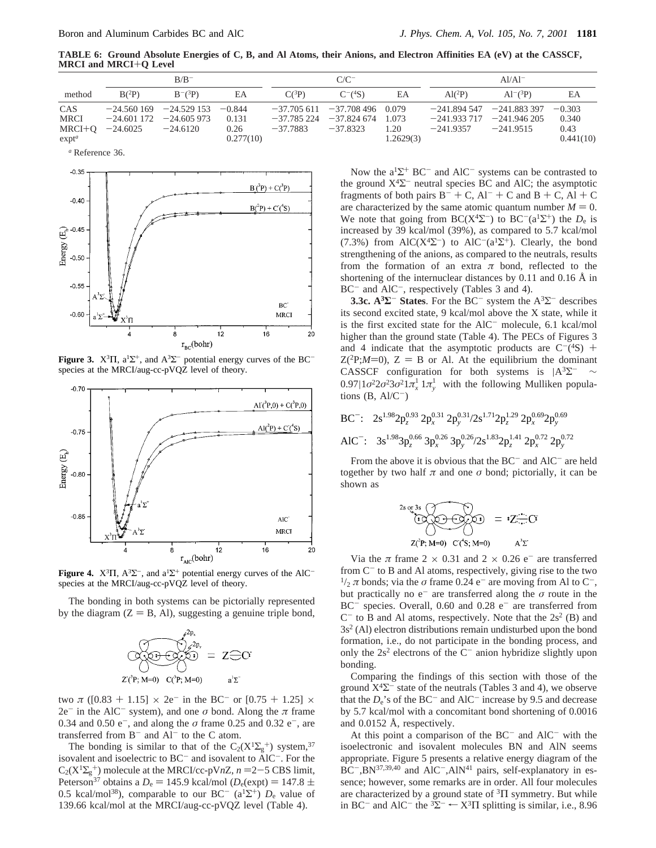**TABLE 6: Ground Absolute Energies of C, B, and Al Atoms, their Anions, and Electron Affinities EA (eV) at the CASSCF, MRCI and MRCI**+**Q Level**

|                                           |            | $B/B^-$                                                                         |                            | $C/C^-$                    |                                                                |                            | $Al/A1^-$                                      |                                          |                                        |  |
|-------------------------------------------|------------|---------------------------------------------------------------------------------|----------------------------|----------------------------|----------------------------------------------------------------|----------------------------|------------------------------------------------|------------------------------------------|----------------------------------------|--|
| method                                    | $B(^2P)$   | $B^{-}(3P)$                                                                     | EA                         | $C(^3P)$                   | $C^{-}(^4S)$                                                   | EA                         | $Al(^{2}P)$                                    | $Al^{-}(3P)$                             | EA                                     |  |
| CAS<br>MRCI<br>MRCI+O<br>exp <sup>a</sup> | $-24.6025$ | $-24.560169$ $-24.529153$ $-0.844$<br>$-24.601$ 172 $-24.605$ 973<br>$-24.6120$ | 0.131<br>0.26<br>0.277(10) | $-37.785224$<br>$-37.7883$ | $-37.705611 - 37.708496 0.079$<br>$-37.824\ 674$<br>$-37.8323$ | 1.073<br>1.20<br>1.2629(3) | $-241.933\,717$ $-241.946\,205$<br>$-241.9357$ | $-241.894547 -241.883397$<br>$-241.9515$ | $-0.303$<br>0.340<br>0.43<br>0.441(10) |  |

*<sup>a</sup>* Reference 36.



**Figure 3.**  $X^3\Pi$ ,  $a^1\Sigma^+$ , and  $A^3\Sigma^-$  potential energy curves of the BC<sup>-</sup> species at the MRCI/aug-cc-pVQZ level of theory.



**Figure 4.**  $X^3\Pi$ ,  $A^3\Sigma^-$ , and  $a^1\Sigma^+$  potential energy curves of the AlC<sup>-</sup> species at the MRCI/aug-cc-pVQZ level of theory.

The bonding in both systems can be pictorially represented by the diagram  $(Z = B, Al)$ , suggesting a genuine triple bond,



two  $\pi$  ([0.83 + 1.15]  $\times$  2e<sup>-</sup> in the BC<sup>-</sup> or [0.75 + 1.25]  $\times$  $2e^-$  in the AlC<sup>-</sup> system), and one  $\sigma$  bond. Along the  $\pi$  frame 0.34 and 0.50 e<sup>-</sup>, and along the *σ* frame 0.25 and 0.32 e<sup>-</sup>, are transferred from  $B^-$  and  $AI^-$  to the C atom.

The bonding is similar to that of the C<sub>2</sub>( $X^1\Sigma_g^+$ ) system,<sup>37</sup> isovalent and isoelectric to  $BC^-$  and isovalent to  $\angle AIC^-$ . For the  $C_2(X^1\Sigma_g^+)$  molecule at the MRCI/cc-pV*nZ*,  $n = 2-5$  CBS limit,<br>Peterson<sup>37</sup> obtains a D, = 145.9 kcal/mol (D,(expt) = 147.8 + Peterson<sup>37</sup> obtains a  $D_e = 145.9$  kcal/mol ( $D_e$ (expt) = 147.8  $\pm$ 0.5 kcal/mol<sup>38</sup>), comparable to our BC<sup>-</sup> (a<sup>1</sup> $\Sigma$ <sup>+</sup>)  $D_e$  value of 139.66 kcal/mol at the MRCI/aug-cc-pVQZ level (Table 4).

Now the  $a^{1}\Sigma^{+}$  BC<sup>-</sup> and AlC<sup>-</sup> systems can be contrasted to the ground  $X^4\Sigma^-$  neutral species BC and AlC; the asymptotic fragments of both pairs  $B^- + C$ ,  $Al^- + C$  and  $B + C$ ,  $Al + C$ are characterized by the same atomic quantum number  $M = 0$ . We note that going from BC( $X^4\Sigma^-$ ) to BC<sup>-</sup>( $a^1\Sigma^+$ ) the  $D_e$  is increased by 39 kcal/mol (39%), as compared to 5.7 kcal/mol (7.3%) from AlC( $X^4\Sigma^-$ ) to AlC<sup>-</sup>( $a^1\Sigma^+$ ). Clearly, the bond strengthening of the anions, as compared to the neutrals, results from the formation of an extra  $\pi$  bond, reflected to the shortening of the internuclear distances by 0.11 and 0.16 Å in BC<sup>-</sup> and AlC<sup>-</sup>, respectively (Tables 3 and 4).

**3.3c. A3Σ**- **States**. For the BC- system the A3Σ- describes its second excited state, 9 kcal/mol above the X state, while it is the first excited state for the  $AIC^-$  molecule, 6.1 kcal/mol higher than the ground state (Table 4). The PECs of Figures 3 and 4 indicate that the asymptotic products are  $C^{-}(4S)$  +  $Z(^{2}P;M=0)$ ,  $Z = B$  or Al. At the equilibrium the dominant CASSCF configuration for both systems is  $|A^3\Sigma^-\rangle \sim$  $0.97|1\sigma^2 2\sigma^2 3\sigma^2 1\pi_x^1 1\pi_y^1$  with the following Mulliken populations  $(B, Al/C^-)$ 

$$
BC^{-}: \quad 2s^{1.98}2p_z^{0.93} \cdot 2p_x^{0.31} \cdot 2p_y^{0.31/2s^{1.71}2p_z^{1.29} \cdot 2p_x^{0.69}2p_y^{0.69}
$$

$$
AIC^{-}: \quad 3s^{1.98}3p_z^{0.66} \cdot 3p_x^{0.26} \cdot 3p_y^{0.26/2s^{1.83}2p_z^{1.41} \cdot 2p_x^{0.72} \cdot 2p_y^{0.72}
$$

From the above it is obvious that the  $BC^-$  and  $AIC^-$  are held together by two half  $\pi$  and one  $\sigma$  bond; pictorially, it can be shown as

$$
2s \text{ or } 3s
$$
  
\n
$$
\text{C} \longrightarrow \text{C} \longrightarrow \text{C} \longrightarrow \text{C} \longrightarrow \text{C}
$$
  
\n
$$
Z(\text{P}; M=0) \quad C(\text{S}; M=0) \qquad A^3 \Sigma
$$

Via the  $\pi$  frame 2 × 0.31 and 2 × 0.26 e<sup>-</sup> are transferred from C<sup>-</sup> to B and Al atoms, respectively, giving rise to the two  $\frac{1}{2}$  π bonds; via the *σ* frame 0.24 e<sup>-</sup> are moving from Al to C<sup>-</sup>, but practically no  $e^-$  are transferred along the  $\sigma$  route in the BC<sup>-</sup> species. Overall, 0.60 and 0.28 e<sup>-</sup> are transferred from  $C^-$  to B and Al atoms, respectively. Note that the  $2s^2$  (B) and 3s2 (Al) electron distributions remain undisturbed upon the bond formation, i.e., do not participate in the bonding process, and only the  $2s^2$  electrons of the  $C^-$  anion hybridize slightly upon bonding.

Comparing the findings of this section with those of the ground  $X^4\Sigma^-$  state of the neutrals (Tables 3 and 4), we observe that the  $D_e$ 's of the BC<sup>-</sup> and AlC<sup>-</sup> increase by 9.5 and decrease by 5.7 kcal/mol with a concomitant bond shortening of 0.0016 and 0.0152 Å, respectively.

At this point a comparison of the  $BC^-$  and  $AIC^-$  with the isoelectronic and isovalent molecules BN and AlN seems appropriate. Figure 5 presents a relative energy diagram of the  $BC^-$ , $BN^{37,39,40}$  and  $AIC^-$ , $AlN^{41}$  pairs, self-explanatory in essence; however, some remarks are in order. All four molecules are characterized by a ground state of  ${}^{3}$ II symmetry. But while in BC<sup>-</sup> and AlC<sup>-</sup> the <sup>3</sup> $\Sigma$ <sup>-</sup>  $\leftarrow$  X<sup>3</sup> $\Pi$  splitting is similar, i.e., 8.96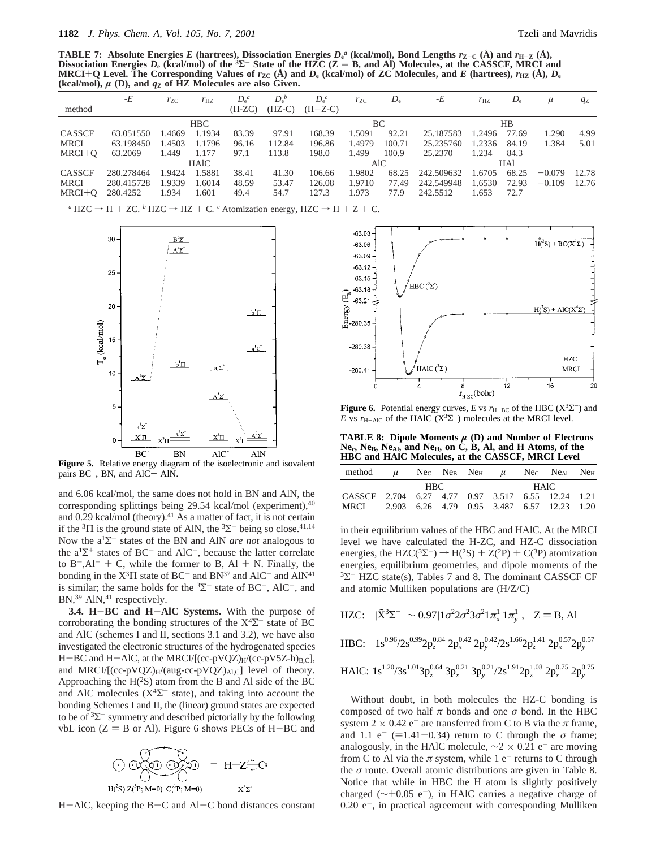**TABLE 7:** Absolute Energies *E* (hartrees), Dissociation Energies  $D_e^a$  (kcal/mol), Bond Lengths  $r_{Z-C}$  (Å) and  $r_{H-Z}$  (Å),<br>Dissociation Energies *D* (kcal/mol) of the <sup>3</sup>N- State of the HZC (Z = R and Al) Molecules a **Dissociation Energies**  $D_e$  (kcal/mol) of the  $^3\Sigma^-$  State of the HZC (Z = B, and Al) Molecules, at the CASSCF, MRCI and MRCI+O Level. The Corresponding Values of  $r_{TC}$  (A) and  $D_e$  (kcal/mol) of ZC Molecules, and E (h MRCI+Q Level. The Corresponding Values of  $r_{\rm ZC}$  (Å) and  $D_{\rm e}$  (kcal/mol) of ZC Molecules, and  $E$  (hartrees),  $r_{\rm HZ}$  (Å),  $D_{\rm e}$ (kcal/mol),  $\mu$  (D), and  $q_Z$  of HZ Molecules are also Given.

|               | -E         | $r_{ZC}$ | $r_{\rm HZ}$ | $D_e^a$  | $D_e^b$  | $D_e^c$   | $r_{ZC}$ | $D_{\rm e}$ | -E         | $r_{\rm HZ}$ | $D_{\rm e}$ | $\mu$    | qz    |
|---------------|------------|----------|--------------|----------|----------|-----------|----------|-------------|------------|--------------|-------------|----------|-------|
| method        |            |          |              | $(H-ZC)$ | $(HZ-C)$ | $(H-Z-C)$ |          |             |            |              |             |          |       |
|               |            |          | <b>HBC</b>   |          |          |           |          | BC          |            |              | HB          |          |       |
| <b>CASSCF</b> | 63.051550  | .4669    | 1.1934       | 83.39    | 97.91    | 168.39    | 1.5091   | 92.21       | 25.187583  | 1.2496       | 77.69       | 1.290    | 4.99  |
| <b>MRCI</b>   | 63.198450  | 1.4503   | 1.1796       | 96.16    | 112.84   | 196.86    | 1.4979   | 100.71      | 25.235760  | 1.2336       | 84.19       | 1.384    | 5.01  |
| $MRCI+O$      | 63.2069    | 1.449    | 1.177        | 97.1     | 113.8    | 198.0     | 1.499    | 100.9       | 25.2370    | 1.234        | 84.3        |          |       |
|               |            |          | <b>HAIC</b>  |          |          |           |          | AlC         |            |              | HAl         |          |       |
| <b>CASSCF</b> | 280.278464 | 1.9424   | 1.5881       | 38.41    | 41.30    | 106.66    | 1.9802   | 68.25       | 242.509632 | 1.6705       | 68.25       | $-0.079$ | 12.78 |
| <b>MRCI</b>   | 280.415728 | 1.9339   | 1.6014       | 48.59    | 53.47    | 126.08    | 1.9710   | 77.49       | 242.549948 | 1.6530       | 72.93       | $-0.109$ | 12.76 |
| $MRCI+O$      | 280.4252   | 1.934    | 1.601        | 49.4     | 54.7     | 127.3     | 1.973    | 77.9        | 242.5512   | 1.653        | 72.7        |          |       |
|               |            |          |              |          |          |           |          |             |            |              |             |          |       |





**Figure 5.** Relative energy diagram of the isoelectronic and isovalent pairs  $BC^-$ , BN, and  $AIC- AIN$ .

and 6.06 kcal/mol, the same does not hold in BN and AlN, the corresponding splittings being 29.54 kcal/mol (experiment), $40$ and  $0.29$  kcal/mol (theory).<sup>41</sup> As a matter of fact, it is not certain if the  ${}^{3}$ Π is the ground state of AlN, the  ${}^{3}\Sigma^{-}$  being so close.<sup>41,14</sup> Now the a1Σ<sup>+</sup> states of the BN and AlN *are not* analogous to the  $a^1\Sigma^+$  states of BC<sup>-</sup> and AlC<sup>-</sup>, because the latter correlate to  $B^{-}$ , Al<sup>-</sup> + C, while the former to B, Al + N. Finally, the bonding in the  $X^3\Pi$  state of BC<sup>-</sup> and BN<sup>37</sup> and AlC<sup>-</sup> and AlN<sup>41</sup> is similar; the same holds for the  ${}^{3}\Sigma^{-}$  state of BC<sup>-</sup>, AlC<sup>-</sup>, and BN,<sup>39</sup> AlN,<sup>41</sup> respectively.

**3.4. H**-**BC and H**-**AlC Systems.** With the purpose of corroborating the bonding structures of the  $X<sup>4</sup>\Sigma$ <sup>-</sup> state of BC and AlC (schemes I and II, sections 3.1 and 3.2), we have also investigated the electronic structures of the hydrogenated species  $H-BC$  and  $H-ALC$ , at the MRCI/ $[(cc-pVQZ)_{H}/(cc-pV5Z-h)_{B,C}]$ , and MRCI/ $[(cc-pVQZ)_{H}/(aug-cc-pVQZ)_{A1,C}]$  level of theory. Approaching the  $H(^{2}S)$  atom from the B and Al side of the BC and AlC molecules ( $X^4\Sigma^-$  state), and taking into account the bonding Schemes I and II, the (linear) ground states are expected to be of  ${}^{3}\Sigma^{-}$  symmetry and described pictorially by the following vbL icon  $(Z = B \text{ or } Al)$ . Figure 6 shows PECs of H-BC and



 $H - AIC$ , keeping the  $B - C$  and  $A1 - C$  bond distances constant



**Figure 6.** Potential energy curves, *E* vs  $r_{\text{H-BC}}$  of the HBC ( $X^3\Sigma^-$ ) and *E* vs  $r_{\text{H-ALC}}$  of the HAlC ( $X^3\Sigma^-$ ) molecules at the MRCI level.

**TABLE 8: Dipole Moments** *µ* **(D) and Number of Electrons** Ne<sub>c</sub>, Ne<sub>B</sub>, Ne<sub>Al</sub>, and Ne<sub>H</sub>, on C, B, Al, and H Atoms, of the **HBC and HAlC Molecules, at the CASSCF, MRCI Level**

| method                                            | $\mu$ |      |  | $NeC$ $NeB$ $NeH$ $\mu$                    |             | $NeC$ $NeA1$ | Ne <sub>H</sub> |
|---------------------------------------------------|-------|------|--|--------------------------------------------|-------------|--------------|-----------------|
|                                                   |       | HBC. |  |                                            | <b>HAIC</b> |              |                 |
| CASSCF 2.704 6.27 4.77 0.97 3.517 6.55 12.24 1.21 |       |      |  |                                            |             |              |                 |
| MRCI                                              |       |      |  | 2.903 6.26 4.79 0.95 3.487 6.57 12.23 1.20 |             |              |                 |

in their equilibrium values of the HBC and HAlC. At the MRCI level we have calculated the H-ZC, and HZ-C dissociation energies, the HZC( ${}^{3}\Sigma^{-}$ )  $\rightarrow$  H( ${}^{2}\text{S}$ ) + Z( ${}^{2}\text{P}$ ) + C( ${}^{3}\text{P}$ ) atomization energies, equilibrium geometries, and dipole moments of the  $3\Sigma$ <sup>-</sup> HZC state(s), Tables 7 and 8. The dominant CASSCF CF and atomic Mulliken populations are (H/Z/C)

HZC: 
$$
|\tilde{X}^3 \Sigma^{-} \rangle \sim 0.97 | 1 \sigma^2 2 \sigma^2 3 \sigma^2 1 \pi_x^1 1 \pi_y^1 \rangle
$$
,  $Z = B$ , Al

$$
HBC: \quad 1s^{0.96}/2s^{0.99}2p_z^{0.84} \ 2p_x^{0.42} \ 2p_y^{0.42}/2s^{1.66}2p_z^{1.41} \ 2p_x^{0.57}2p_y^{0.57}
$$

HAIC: 
$$
1s^{1.20}/3s^{1.01}3p_z^{0.64}3p_x^{0.21}3p_y^{0.21}/2s^{1.91}2p_z^{1.08}2p_x^{0.75}2p_y^{0.75}
$$

Without doubt, in both molecules the HZ-C bonding is composed of two half  $π$  bonds and one  $σ$  bond. In the HBC system  $2 \times 0.42$  e<sup>-</sup> are transferred from C to B via the  $\pi$  frame, and 1.1 e<sup>-</sup> (=1.41-0.34) return to C through the  $\sigma$  frame; analogously, in the HAlC molecule,  $\sim$ 2 × 0.21 e<sup>-</sup> are moving from C to Al via the  $\pi$  system, while 1 e<sup>-</sup> returns to C through the *σ* route. Overall atomic distributions are given in Table 8. Notice that while in HBC the H atom is slightly positively charged ( $\sim$ +0.05 e<sup>-</sup>), in HAlC carries a negative charge of  $0.20$  e<sup>-</sup>, in practical agreement with corresponding Mulliken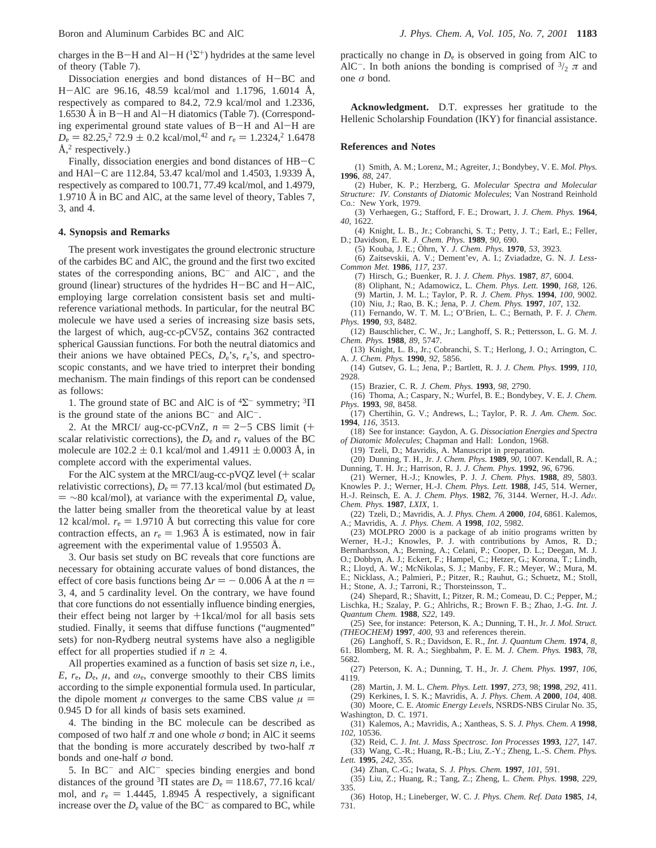charges in the B-H and Al-H ( $^{1}\Sigma^{+}$ ) hydrides at the same level of theory (Table 7).

Dissociation energies and bond distances of H-BC and <sup>H</sup>-AlC are 96.16, 48.59 kcal/mol and 1.1796, 1.6014 Å, respectively as compared to 84.2, 72.9 kcal/mol and 1.2336, 1.6530 Å in B-H and Al-H diatomics (Table 7). (Corresponding experimental ground state values of B-H and Al-H are  $D_e = 82.25$ ,  $\frac{272.9 \pm 0.2 \text{ kcal/mol}}{^{42} \text{ and } r_e} = 1.2324$ ,  $\frac{21.6478 \pm 0.2 \text{ kcal/mol}}{^{42} \text{ and } r_e}$  $\AA$ <sup>2</sup> respectively.)

Finally, dissociation energies and bond distances of HB-<sup>C</sup> and HAl-C are 112.84, 53.47 kcal/mol and 1.4503, 1.9339 Å, respectively as compared to 100.71, 77.49 kcal/mol, and 1.4979, 1.9710 Å in BC and AlC, at the same level of theory, Tables 7, 3, and 4.

#### **4. Synopsis and Remarks**

The present work investigates the ground electronic structure of the carbides BC and AlC, the ground and the first two excited states of the corresponding anions,  $BC^-$  and  $AIC^-$ , and the ground (linear) structures of the hydrides H-BC and H-AlC, employing large correlation consistent basis set and multireference variational methods. In particular, for the neutral BC molecule we have used a series of increasing size basis sets, the largest of which, aug-cc-pCV5Z, contains 362 contracted spherical Gaussian functions. For both the neutral diatomics and their anions we have obtained PECs, *D*e's, *r*e's, and spectroscopic constants, and we have tried to interpret their bonding mechanism. The main findings of this report can be condensed as follows:

1. The ground state of BC and AlC is of  ${}^{4}\Sigma^{-}$  symmetry;  ${}^{3}\Pi$ is the ground state of the anions  $BC^-$  and  $AIC^-$ .

2. At the MRCI/ aug-cc-pCVnZ,  $n = 2-5$  CBS limit (+ scalar relativistic corrections), the  $D_e$  and  $r_e$  values of the BC molecule are  $102.2 \pm 0.1$  kcal/mol and  $1.4911 \pm 0.0003$  Å, in complete accord with the experimental values.

For the AlC system at the MRCI/aug-cc-pVQZ level (+ scalar relativistic corrections),  $D_e = 77.13$  kcal/mol (but estimated  $D_e$  $=$  ~80 kcal/mol), at variance with the experimental  $D_e$  value, the latter being smaller from the theoretical value by at least 12 kcal/mol.  $r_e = 1.9710$  Å but correcting this value for core contraction effects, an  $r_e = 1.963$  Å is estimated, now in fair agreement with the experimental value of 1.95503 Å.

3. Our basis set study on BC reveals that core functions are necessary for obtaining accurate values of bond distances, the effect of core basis functions being  $\Delta r = -0.006 \text{ Å}$  at the *n* = 3, 4, and 5 cardinality level. On the contrary, we have found that core functions do not essentially influence binding energies, their effect being not larger by  $+1$ kcal/mol for all basis sets studied. Finally, it seems that diffuse functions ("augmented" sets) for non-Rydberg neutral systems have also a negligible effect for all properties studied if  $n \geq 4$ .

All properties examined as a function of basis set size *n*, i.e., *E*,  $r_e$ ,  $D_e$ ,  $\mu$ , and  $\omega_e$ , converge smoothly to their CBS limits according to the simple exponential formula used. In particular, the dipole moment  $\mu$  converges to the same CBS value  $\mu$  = 0.945 D for all kinds of basis sets examined.

4. The binding in the BC molecule can be described as composed of two half  $\pi$  and one whole  $\sigma$  bond; in AlC it seems that the bonding is more accurately described by two-half  $\pi$ bonds and one-half *σ* bond.

5. In BC- and AlC- species binding energies and bond distances of the ground <sup>3</sup>Π states are  $D_e = 118.67, 77.16$  kcal/ mol, and  $r_e = 1.4445$ , 1.8945 Å respectively, a significant increase over the  $D_e$  value of the  $BC^-$  as compared to BC, while

practically no change in  $D<sub>e</sub>$  is observed in going from AlC to AlC<sup>-</sup>. In both anions the bonding is comprised of  $\frac{3}{2} \pi$  and one *σ* bond.

**Acknowledgment.** D.T. expresses her gratitude to the Hellenic Scholarship Foundation (IKY) for financial assistance.

### **References and Notes**

(1) Smith, A. M.; Lorenz, M.; Agreiter, J.; Bondybey, V. E. *Mol. Phys.* **1996**, *88*, 247.

(2) Huber, K. P.; Herzberg, G. *Molecular Spectra and Molecular Structure: IV. Constants of Diatomic Molecules*; Van Nostrand Reinhold Co.: New York, 1979.

(3) Verhaegen, G.; Stafford, F. E.; Drowart, J. *J. Chem. Phys.* **1964**, *40*, 1622.

(4) Knight, L. B., Jr.; Cobranchi, S. T.; Petty, J. T.; Earl, E.; Feller, D.; Davidson, E. R. *J. Chem. Phys.* **1989**, *90*, 690.

(5) Kouba, J. E.; Öhrn, Y. *J. Chem. Phys.* **1970**, 53, 3923.

(6) Zaitsevskii, A. V.; Dement'ev, A. I.; Zviadadze, G. N. *J. Less-Common Met.* **1986**, *117*, 237.

(7) Hirsch, G.; Buenker, R. J. *J. Chem. Phys.* **1987**, *87*, 6004.

(8) Oliphant, N.; Adamowicz, L. *Chem. Phys. Lett.* **1990**, *168*, 126.

(9) Martin, J. M. L.; Taylor, P. R. *J. Chem. Phys.* **1994**, *100*, 9002.

(10) Niu, J.; Rao, B. K.; Jena, P. *J. Chem. Phys.* **1997**, *107*, 132.

(11) Fernando, W. T. M. L.; O'Brien, L. C.; Bernath, P. F. *J. Chem. Phys.* **1990**, *93*, 8482.

(12) Bauschlicher, C. W., Jr.; Langhoff, S. R.; Pettersson, L. G. M. *J. Chem. Phys.* **1988**, *89*, 5747.

(13) Knight, L. B., Jr.; Cobranchi, S. T.; Herlong, J. O.; Arrington, C. A. *J. Chem. Phys.* **1990**, *92*, 5856.

(14) Gutsev, G. L.; Jena, P.; Bartlett, R. J. *J. Chem. Phys.* **1999**, *110*, 2928.

(15) Brazier, C. R. *J. Chem. Phys.* **1993**, *98*, 2790.

(16) Thoma, A.; Caspary, N.; Wurfel, B. E.; Bondybey, V. E. *J. Chem. Phys.* **1993**, *98*, 8458.

(17) Chertihin, G. V.; Andrews, L.; Taylor, P. R. *J. Am. Chem. Soc.* **1994**, *116*, 3513.

(18) See for instance: Gaydon, A. G. *Dissociation Energies and Spectra of Diatomic Molecules*; Chapman and Hall: London, 1968.

(19) Tzeli, D.; Mavridis, A. Manuscript in preparation.

(20) Dunning, T. H., Jr. *J. Chem. Phys.* **1989**, *90*, 1007. Kendall, R. A.; Dunning, T. H. Jr.; Harrison, R. J. *J. Chem. Phys.* **1992**, *96*, 6796.

(21) Werner, H.-J.; Knowles, P. J. *J. Chem. Phys.* **1988**, *89*, 5803. Knowles P. J.; Werner, H.-J. *Chem. Phys. Lett.* **1988**, *145*, 514. Werner, H.-J. Reinsch, E. A. *J. Chem. Phys*. **<sup>1982</sup>**, *<sup>76</sup>*, 3144. Werner, H.-J. *Ad*V*.*

*Chem. Phys.* **1987**, *LXIX*, 1. (22) Tzeli, D.; Mavridis, A. *J. Phys. Chem. A* **2000**, *104*, 6861. Kalemos,

A.; Mavridis, A. *J. Phys. Chem. A* **1998**, *102*, 5982.

(23) MOLPRO 2000 is a package of ab initio programs written by Werner, H.-J.; Knowles, P. J. with contributions by Amos, R. D.; Bernhardsson, A.; Berning, A.; Celani, P.; Cooper, D. L.; Deegan, M. J. O.; Dobbyn, A. J.; Eckert, F.; Hampel, C.; Hetzer, G.; Korona, T.; Lindh, R.; Lloyd, A. W.; McNikolas, S. J.; Manby, F. R.; Meyer, W.; Mura, M. E.; Nicklass, A.; Palmieri, P.; Pitzer, R.; Rauhut, G.; Schuetz, M.; Stoll,

H.; Stone, A. J.; Tarroni, R.; Thorsteinsson, T..

(24) Shepard, R.; Shavitt, I.; Pitzer, R. M.; Comeau, D. C.; Pepper, M.; Lischka, H.; Szalay, P. G.; Ahlrichs, R.; Brown F. B.; Zhao, J.-G. *Int. J. Quantum Chem.* **1988**, *S22*, 149.

(25) See, for instance: Peterson, K. A.; Dunning, T. H., Jr. *J. Mol. Struct. (THEOCHEM)* **1997**, *400*, 93 and references therein.

(26) Langhoff, S. R.; Davidson, E. R., *Int. J. Quantum Chem.* **1974**, *8*, 61. Blomberg, M. R. A.; Sieghbahm, P. E. M. *J. Chem. Phys.* **1983**, *78*, 5682.

(27) Peterson, K. A.; Dunning, T. H., Jr. *J. Chem. Phys.* **1997**, *106*, 4119.

(28) Martin, J. M. L. *Chem. Phys. Lett.* **1997**, *273*, 98; **1998**, *292*, 411.

(29) Kerkines, I. S. K.; Mavridis, A. *J. Phys. Chem. A* **2000**, *104*, 408. (30) Moore, C. E. *Atomic Energy Le*V*els*, NSRDS-NBS Cirular No. 35, Washington, D. C. 1971.

(31) Kalemos, A.; Mavridis, A.; Xantheas, S. S. *J. Phys. Chem. A* **1998**, *102*, 10536.

(32) Reid, C. J. *Int. J. Mass Spectrosc. Ion Processes* **1993**, *127*, 147. (33) Wang, C.-R.; Huang, R.-B.; Liu, Z.-Y.; Zheng, L.-S. *Chem. Phys. Lett.* **1995**, *242*, 355.

(34) Zhan, C.-G.; Iwata, S. *J. Phys. Chem.* **1997**, *101*, 591.

(35) Liu, Z.; Huang, R.; Tang, Z.; Zheng, L. *Chem. Phys.* **1998**, *229*, 335.

(36) Hotop, H.; Lineberger, W. C. *J. Phys. Chem. Ref. Data* **1985**, *14*, 731.